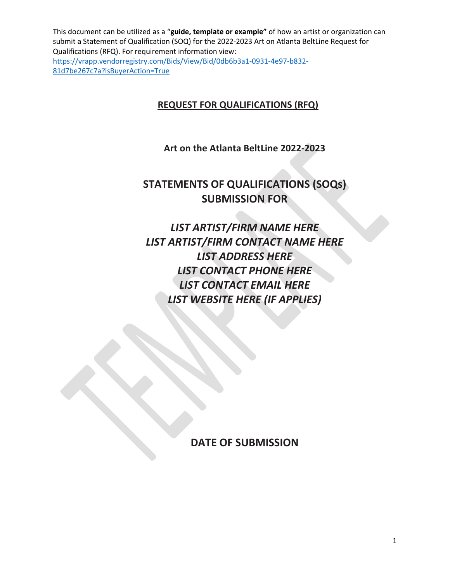## **REQUEST FOR QUALIFICATIONS (RFQ)**

**Art on the Atlanta BeltLine 2022-2023**

# **STATEMENTS OF QUALIFICATIONS (SOQs) SUBMISSION FOR**

*LIST ARTIST/FIRM NAME HERE LIST ARTIST/FIRM CONTACT NAME HERE LIST ADDRESS HERE LIST CONTACT PHONE HERE LIST CONTACT EMAIL HERE LIST WEBSITE HERE (IF APPLIES)*

**DATE OF SUBMISSION**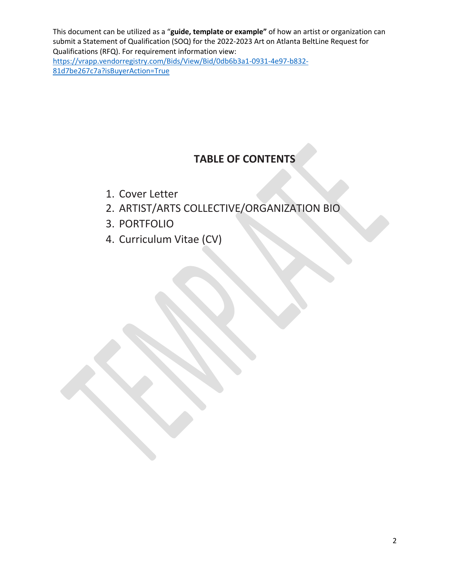# **TABLE OF CONTENTS**

- 1. Cover Letter
- 2. ARTIST/ARTS COLLECTIVE/ORGANIZATION BIO
- 3. PORTFOLIO
- 4. Curriculum Vitae (CV)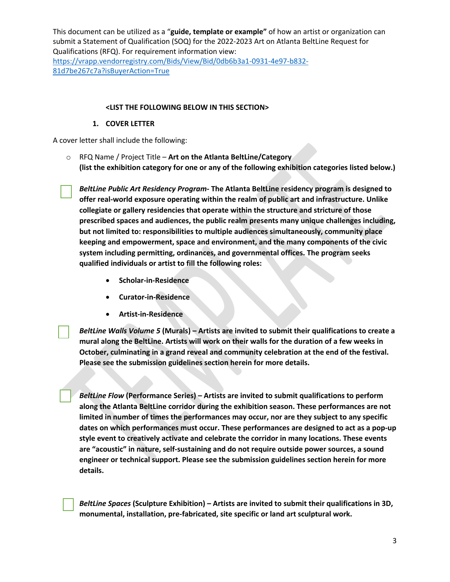#### **<LIST THE FOLLOWING BELOW IN THIS SECTION>**

#### **1. COVER LETTER**

A cover letter shall include the following:

o RFQ Name / Project Title – **Art on the Atlanta BeltLine/Category (list the exhibition category for one or any of the following exhibition categories listed below.)**

*BeltLine Public Art Residency Program-* **The Atlanta BeltLine residency program is designed to offer real-world exposure operating within the realm of public art and infrastructure. Unlike collegiate or gallery residencies that operate within the structure and stricture of those prescribed spaces and audiences, the public realm presents many unique challenges including, but not limited to: responsibilities to multiple audiences simultaneously, community place keeping and empowerment, space and environment, and the many components of the civic system including permitting, ordinances, and governmental offices. The program seeks qualified individuals or artist to fill the following roles:**

- **Scholar-in-Residence**
- **Curator-in-Residence**
- **Artist-in-Residence**

*BeltLine Walls Volume 5* **(Murals) – Artists are invited to submit their qualifications to create a mural along the BeltLine. Artists will work on their walls for the duration of a few weeks in October, culminating in a grand reveal and community celebration at the end of the festival. Please see the submission guidelines section herein for more details.**

*BeltLine Flow* **(Performance Series) – Artists are invited to submit qualifications to perform along the Atlanta BeltLine corridor during the exhibition season. These performances are not limited in number of times the performances may occur, nor are they subject to any specific dates on which performances must occur. These performances are designed to act as a pop-up style event to creatively activate and celebrate the corridor in many locations. These events are "acoustic" in nature, self-sustaining and do not require outside power sources, a sound engineer or technical support. Please see the submission guidelines section herein for more details.**

*BeltLine Spaces* **(Sculpture Exhibition) – Artists are invited to submit their qualifications in 3D, monumental, installation, pre-fabricated, site specific or land art sculptural work.**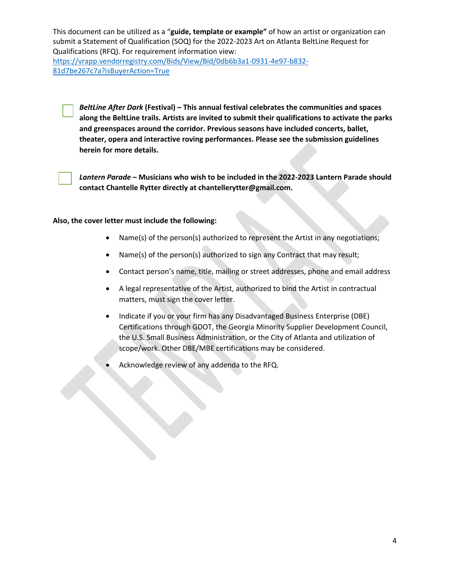81d7be267c7a?isBuyerAction=True

*BeltLine After Dark* **(Festival) – This annual festival celebrates the communities and spaces along the BeltLine trails. Artists are invited to submit their qualifications to activate the parks and greenspaces around the corridor. Previous seasons have included concerts, ballet, theater, opera and interactive roving performances. Please see the submission guidelines herein for more details.**



*Lantern Parade* **– Musicians who wish to be included in the 2022-2023 Lantern Parade should contact Chantelle Rytter directly at chantellerytter@gmail.com.**

#### **Also, the cover letter must include the following:**

- Name(s) of the person(s) authorized to represent the Artist in any negotiations;
- Name(s) of the person(s) authorized to sign any Contract that may result;
- Contact person's name, title, mailing or street addresses, phone and email address
- A legal representative of the Artist, authorized to bind the Artist in contractual matters, must sign the cover letter.
- Indicate if you or your firm has any Disadvantaged Business Enterprise (DBE) Certifications through GDOT, the Georgia Minority Supplier Development Council, the U.S. Small Business Administration, or the City of Atlanta and utilization of scope/work. Other DBE/MBE certifications may be considered.
- Acknowledge review of any addenda to the RFQ.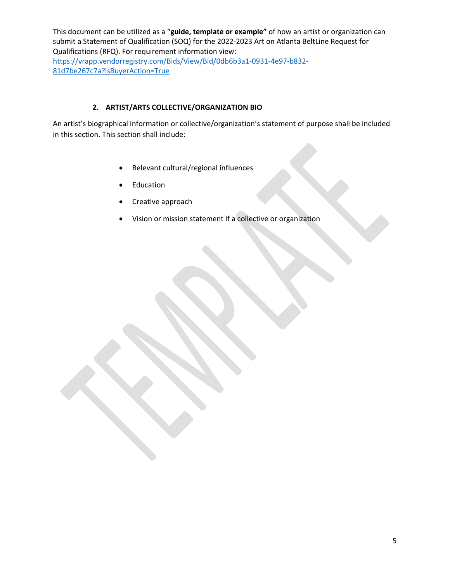## **2. ARTIST/ARTS COLLECTIVE/ORGANIZATION BIO**

An artist's biographical information or collective/organization's statement of purpose shall be included in this section. This section shall include:

- Relevant cultural/regional influences
- **Education**
- Creative approach
- Vision or mission statement if a collective or organization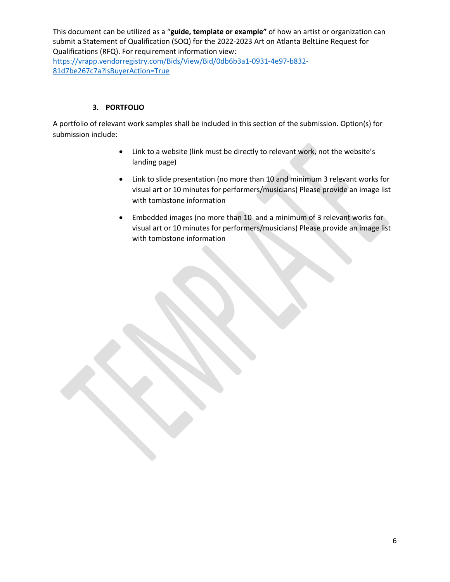### **3. PORTFOLIO**

A portfolio of relevant work samples shall be included in this section of the submission. Option(s) for submission include:

- Link to a website (link must be directly to relevant work, not the website's landing page)
- Link to slide presentation (no more than 10 and minimum 3 relevant works for visual art or 10 minutes for performers/musicians) Please provide an image list with tombstone information
- Embedded images (no more than 10 and a minimum of 3 relevant works for visual art or 10 minutes for performers/musicians) Please provide an image list with tombstone information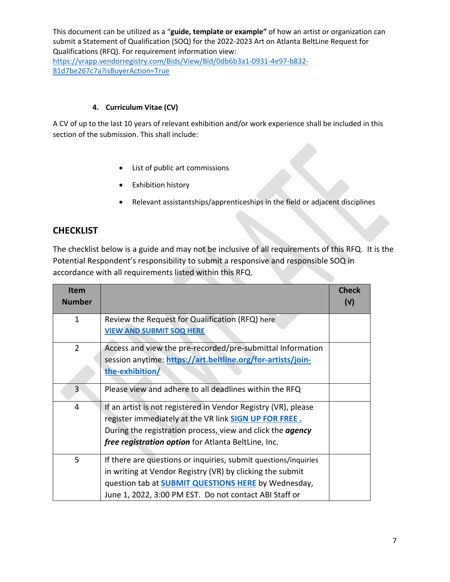### **4. Curriculum Vitae (CV)**

A CV of up to the last 10 years of relevant exhibition and/or work experience shall be included in this section of the submission. This shall include:

- List of public art commissions
- Exhibition history
- Relevant assistantships/apprenticeships in the field or adjacent disciplines

## **CHECKLIST**

The checklist below is a guide and may not be inclusive of all requirements of this RFQ. It is the Potential Respondent's responsibility to submit a responsive and responsible SOQ in accordance with all requirements listed within this RFQ.

| <b>Item</b><br><b>Number</b> |                                                                                                                                                                                                                                                            | <b>Check</b><br>(v) |
|------------------------------|------------------------------------------------------------------------------------------------------------------------------------------------------------------------------------------------------------------------------------------------------------|---------------------|
| 1                            | Review the Request for Qualification (RFQ) here<br><b>VIEW AND SUBMIT SOQ HERE</b>                                                                                                                                                                         |                     |
| $\overline{2}$               | Access and view the pre-recorded/pre-submittal Information<br>session anytime: https://art.beltline.org/for-artists/join-<br>the-exhibition/                                                                                                               |                     |
| 3 <sup>1</sup>               | Please view and adhere to all deadlines within the RFQ                                                                                                                                                                                                     |                     |
| 4                            | If an artist is not registered in Vendor Registry (VR), please<br>register immediately at the VR link <b>SIGN UP FOR FREE.</b><br>During the registration process, view and click the <i>agency</i><br>free registration option for Atlanta BeltLine, Inc. |                     |
| 5                            | If there are questions or inquiries, submit questions/inquiries<br>in writing at Vendor Registry (VR) by clicking the submit<br>question tab at <b>SUBMIT QUESTIONS HERE</b> by Wednesday,<br>June 1, 2022, 3:00 PM EST. Do not contact ABI Staff or       |                     |